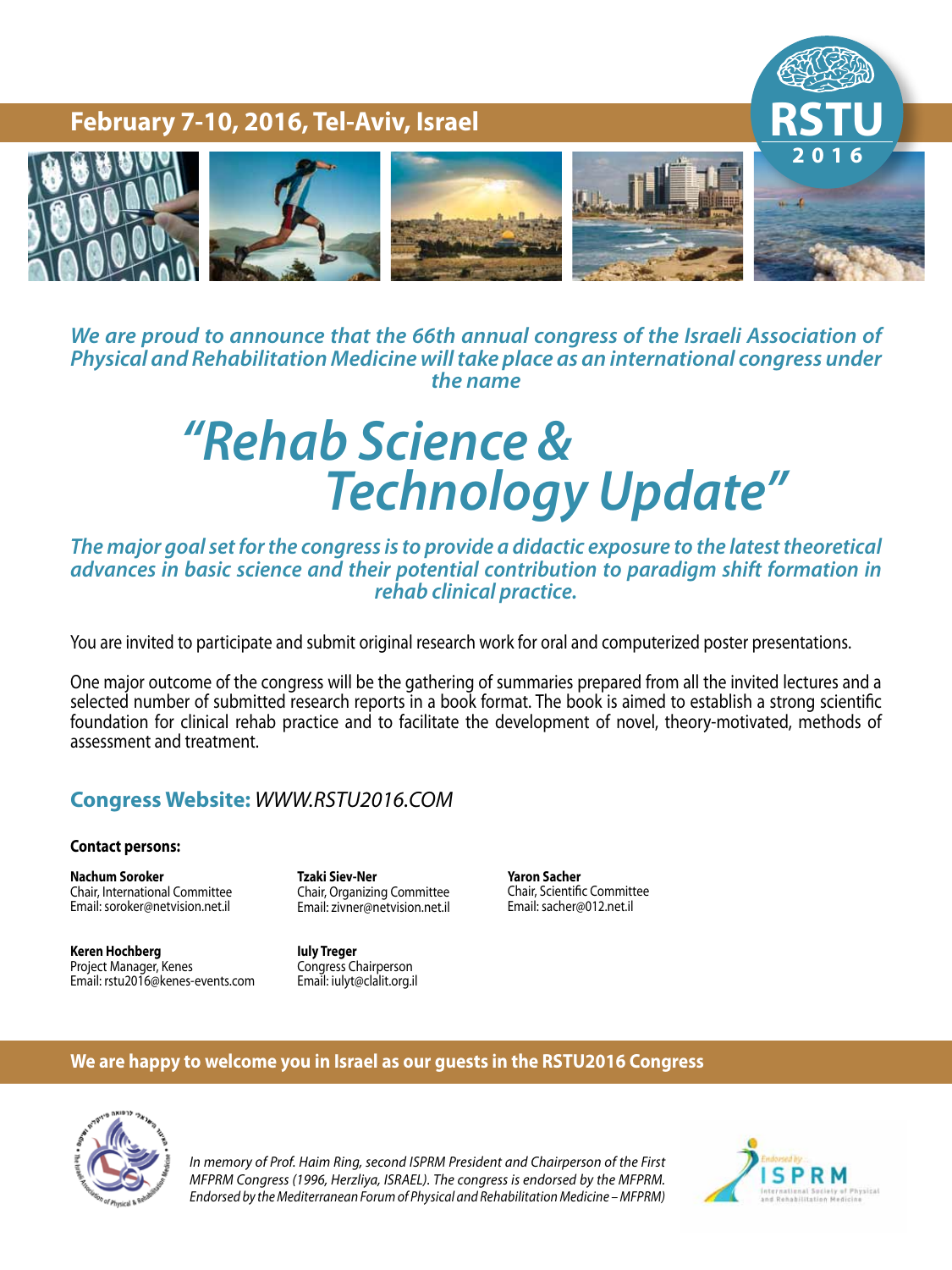

*We are proud to announce that the 66th annual congress of the Israeli Association of* **Physical and Rehabilitation Medicine will take place as an international congress under** *the name* 

# *& Science Rehab "* **Technology Update"**

The major goal set for the congress is to provide a didactic exposure to the latest theoretical *davances in basic science and their potential contribution to paradigm shift formation in rehab clinical practice.* 

You are invited to participate and submit original research work for oral and computerized poster presentations.

One major outcome of the congress will be the gathering of summaries prepared from all the invited lectures and a selected number of submitted research reports in a book format. The book is aimed to establish a strong scientific foundation for clinical rehab practice and to facilitate the development of novel, theory-motivated, methods of assessment and treatment.

### **Congress Website: WWW.RSTU2016.COM**

### **Contact persons:**

**Nachum Soroker** Chair, International Committee Email: soroker@netvision.net.il

**Tzaki Siev-Ner** Chair, Organizing Committee Email: zivner@netvision.net.il

**Hochberg Keren** Project Manager, Kenes Email: rstu2016@kenes-events.com **Iuly Treger** Congress Chairperson Email: iulyt@clalit.org.il

**Yaron Sacher** Chair, Scientific Committee Email: sacher@012.net.il

### **We are happy to welcome you in Israel as our quests in the RSTU2016 Congress**



In memory of Prof. Haim Ring, second ISPRM President and Chairperson of the First *MFPRM Congress (1996, Herzliya, ISRAEL). The congress is endorsed by the MFPRM. (MFPRM – Medicine Rehabilitation and Physical of Forum Mediterranean the by Endorsed*

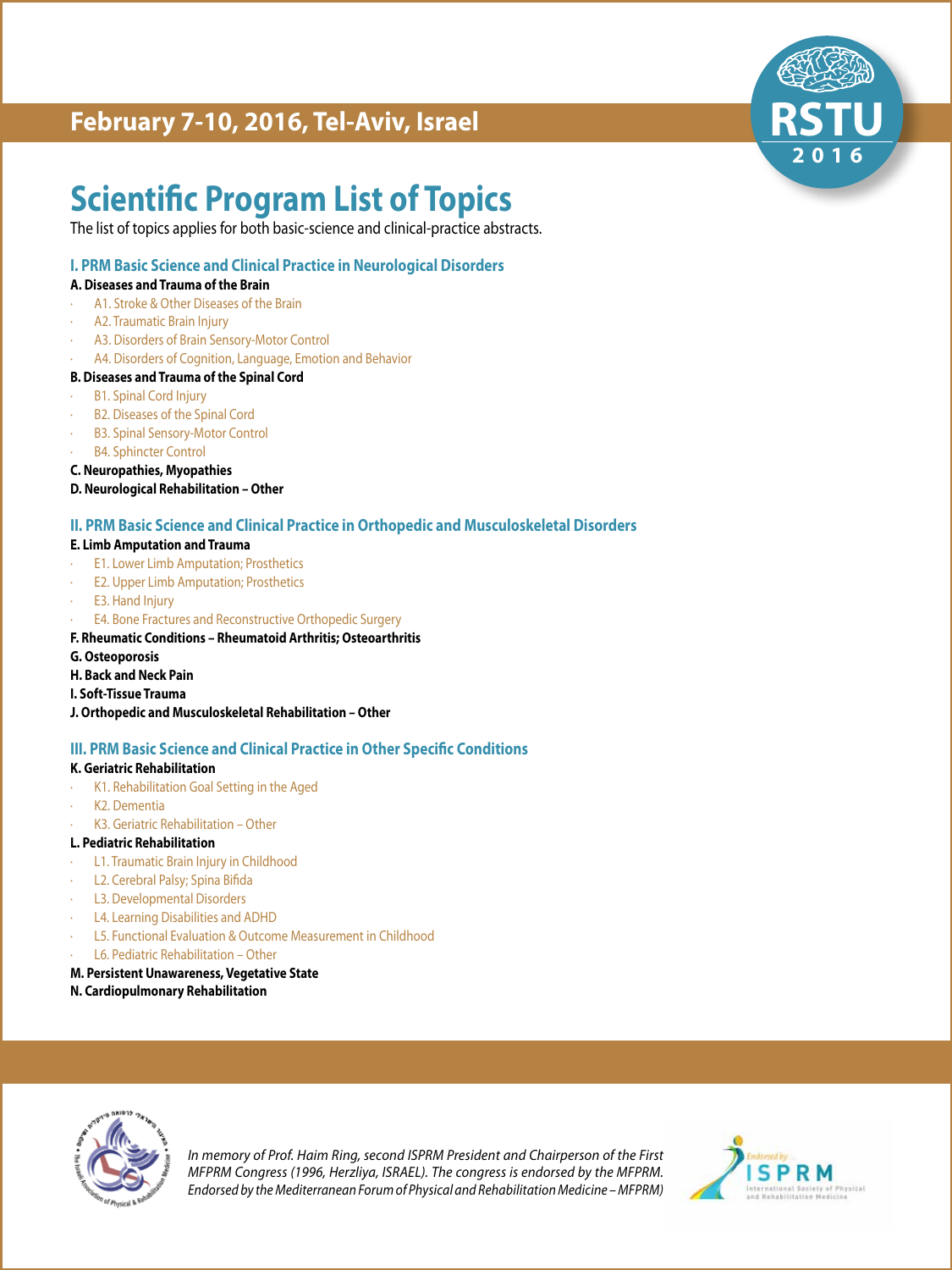

## **Scientific Program List of Topics**

The list of topics applies for both basic-science and clinical-practice abstracts.

### **I. PRM Basic Science and Clinical Practice in Neurological Disorders**

### **A. Diseases and Trauma of the Brain**

- A1. Stroke & Other Diseases of the Brain
- A2. Traumatic Brain Injury
- A3. Disorders of Brain Sensory-Motor Control
- A4. Disorders of Cognition, Language, Emotion and Behavior

### **B. Diseases and Trauma of the Spinal Cord**

- **B1. Spinal Cord Injury**
- B2. Diseases of the Spinal Cord
- B3. Spinal Sensory-Motor Control
- **B4. Sphincter Control**
- **C. Neuropathies, Myopathies**
- **D. Neurological Rehabilitation Other**

### **II. PRM Basic Science and Clinical Practice in Orthopedic and Musculoskeletal Disorders**

### **E. Limb Amputation and Trauma**

- **E1. Lower Limb Amputation; Prosthetics**
- E2. Upper Limb Amputation; Prosthetics
- E3. Hand Injury
- E4. Bone Fractures and Reconstructive Orthopedic Surgery

### **F. Rheumatic Conditions - Rheumatoid Arthritis; Osteoarthritis**

**Osteoporosis .G**

### **H. Back and Neck Pain**

- **I. Soft-Tissue Trauma**
- **J. Orthopedic and Musculoskeletal Rehabilitation Other**

### **III. PRM Basic Science and Clinical Practice in Other Specific Conditions**

### **K. Geriatric Rehabilitation**

- K1. Rehabilitation Goal Setting in the Aged
- · K2. Dementia
- K3. Geriatric Rehabilitation Other

### **L. Pediatric Rehabilitation**

- L1. Traumatic Brain Injury in Childhood
- L2. Cerebral Palsy; Spina Bifida
- · L3. Developmental Disorders
- L4. Learning Disabilities and ADHD
- L5. Functional Evaluation & Outcome Measurement in Childhood
- L6. Pediatric Rehabilitation Other
- **M. Persistent Unawareness, Vegetative State**

### **N. Cardiopulmonary Rehabilitation**



In memory of Prof. Haim Ring, second ISPRM President and Chairperson of the First *MFPRM Congress (1996, Herzliya, ISRAEL). The congress is endorsed by the MFPRM.* Endorsed by the Mediterranean Forum of Physical and Rehabilitation Medicine - MFPRM)

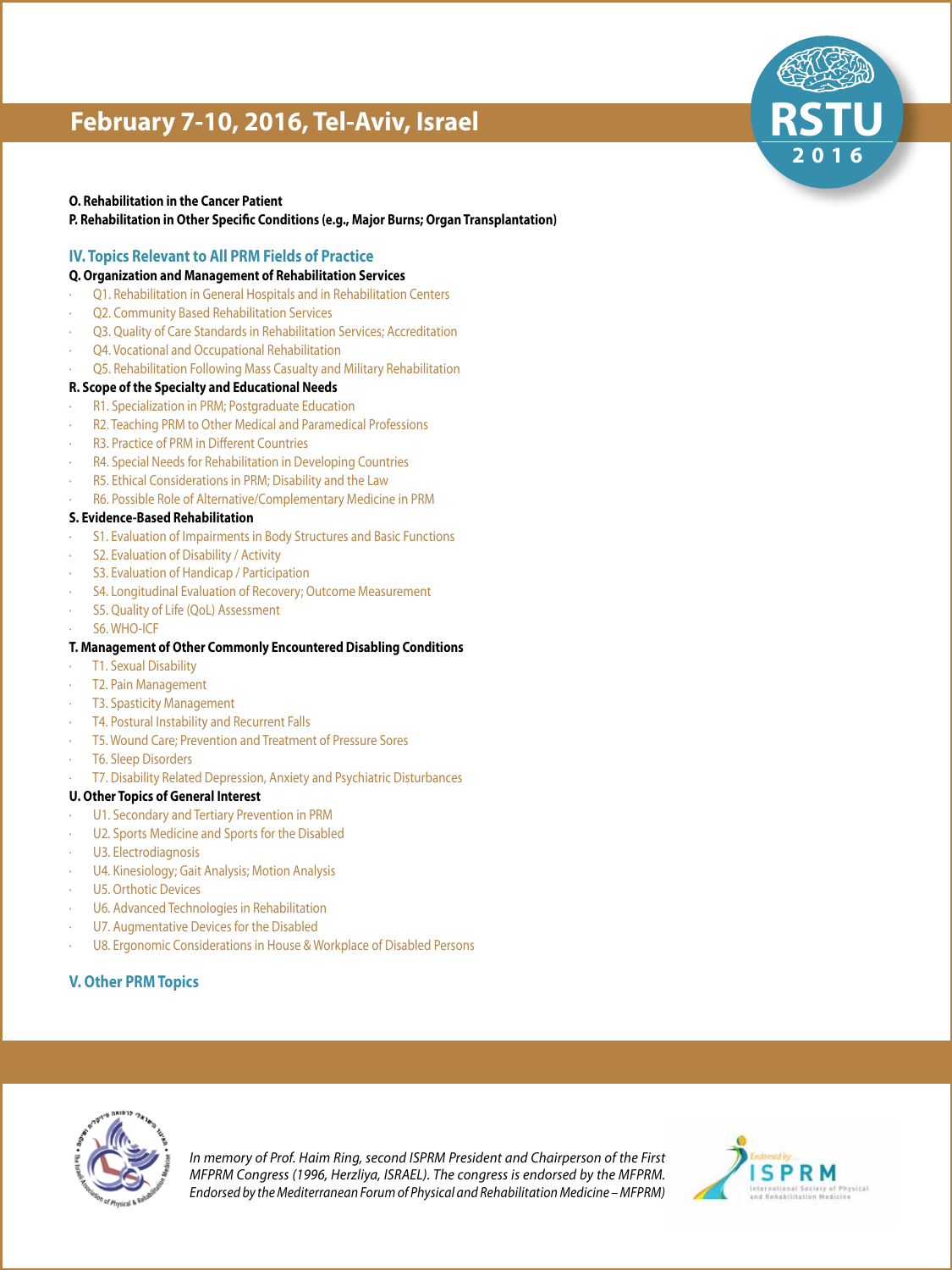### **O. Rehabilitation in the Cancer Patient**

**P. Rehabilitation in Other Specific Conditions (e.g., Major Burns; Organ Transplantation)** 

### **IV. Topics Relevant to All PRM Fields of Practice**

### **Q. Organization and Management of Rehabilitation Services**

- Q1. Rehabilitation in General Hospitals and in Rehabilitation Centers
- Q2. Community Based Rehabilitation Services
- Q3. Quality of Care Standards in Rehabilitation Services; Accreditation
- Q4. Vocational and Occupational Rehabilitation
- Q5. Rehabilitation Following Mass Casualty and Military Rehabilitation

### **R. Scope of the Specialty and Educational Needs**

- R1. Specialization in PRM; Postgraduate Education
- R2. Teaching PRM to Other Medical and Paramedical Professions
- R3. Practice of PRM in Different Countries
- R4. Special Needs for Rehabilitation in Developing Countries
- R5. Ethical Considerations in PRM; Disability and the Law
- R6. Possible Role of Alternative/Complementary Medicine in PRM

### **S. Evidence-Based Rehabilitation**

- S1. Evaluation of Impairments in Body Structures and Basic Functions
- S2. Evaluation of Disability / Activity
- S3. Evaluation of Handicap / Participation
- S4. Longitudinal Evaluation of Recovery; Outcome Measurement
- S5. Quality of Life (QoL) Assessment
- S6. WHO-ICF

### **T. Management of Other Commonly Encountered Disabling Conditions**

- T1. Sexual Disability
- T2. Pain Management
- T3. Spasticity Management
- T4. Postural Instability and Recurrent Falls
- T5. Wound Care; Prevention and Treatment of Pressure Sores
- T6. Sleep Disorders
- T7. Disability Related Depression, Anxiety and Psychiatric Disturbances

### **U. Other Topics of General Interest**

- U1. Secondary and Tertiary Prevention in PRM
- U2. Sports Medicine and Sports for the Disabled
- U3. Electrodiagnosis
- U4. Kinesiology; Gait Analysis; Motion Analysis
- U5. Orthotic Devices
- U6. Advanced Technologies in Rehabilitation
- U7. Augmentative Devices for the Disabled
- U8. Ergonomic Considerations in House & Workplace of Disabled Persons

### **V. Other PRM Topics**



In memory of Prof. Haim Ring, second ISPRM President and Chairperson of the First *MFPRM Congress (1996, Herzliya, ISRAEL). The congress is endorsed by the MFPRM.* Endorsed by the Mediterranean Forum of Physical and Rehabilitation Medicine - MFPRM)



**6 1 0 2**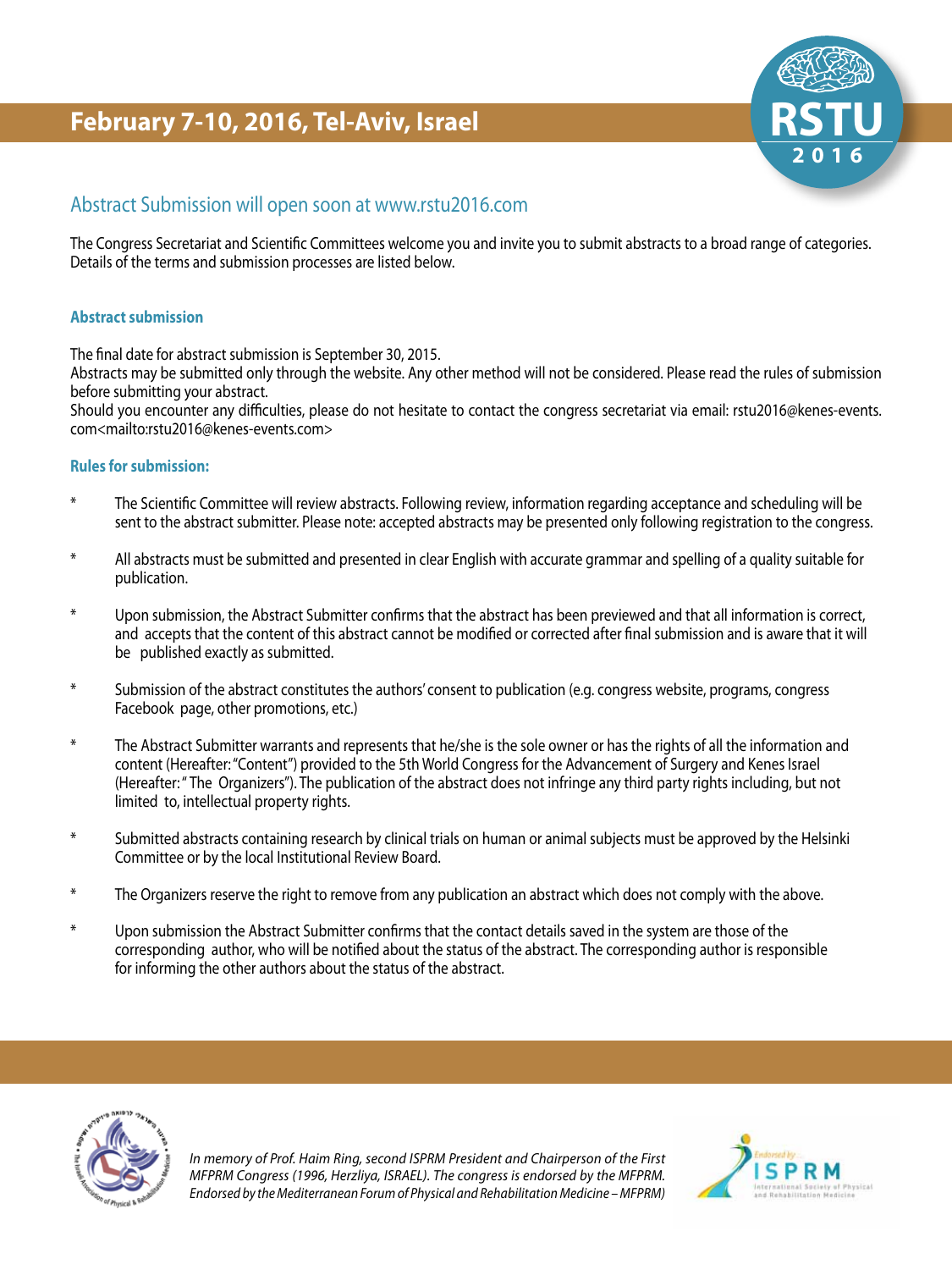### Abstract Submission will open soon at www.rstu2016.com

The Congress Secretariat and Scientific Committees welcome you and invite you to submit abstracts to a broad range of categories. Details of the terms and submission processes are listed below.

### **Abstract submission**

The final date for abstract submission is September 30, 2015.

Abstracts may be submitted only through the website. Any other method will not be considered. Please read the rules of submission before submitting your abstract.

Should you encounter any difficulties, please do not hesitate to contact the congress secretariat via email: rstu2016@kenes-events. com<mailto:rstu2016@kenes-events.com>

### **Rules for submission:**

- <sup>\*</sup> The Scientific Committee will review abstracts. Following review, information regarding acceptance and scheduling will be sent to the abstract submitter. Please note: accepted abstracts may be presented only following registration to the congress.
- \* All abstracts must be submitted and presented in clear English with accurate grammar and spelling of a quality suitable for publication.
- \* Upon submission, the Abstract Submitter confirms that the abstract has been previewed and that all information is correct, and accepts that the content of this abstract cannot be modified or corrected after final submission and is aware that it will be published exactly as submitted.
- \* Submission of the abstract constitutes the authors' consent to publication (e.g. congress website, programs, congress Facebook page, other promotions, etc.)
- <sup>\*</sup> The Abstract Submitter warrants and represents that he/she is the sole owner or has the rights of all the information and content (Hereafter: "Content") provided to the 5th World Congress for the Advancement of Surgery and Kenes Israel (Hereafter: "The Organizers"). The publication of the abstract does not infringe any third party rights including, but not limited to, intellectual property rights.
- \* Submitted abstracts containing research by clinical trials on human or animal subjects must be approved by the Helsinki Committee or by the local Institutional Review Board.
- \* The Organizers reserve the right to remove from any publication an abstract which does not comply with the above.
- \* Upon submission the Abstract Submitter confirms that the contact details saved in the system are those of the corresponding author, who will be notified about the status of the abstract. The corresponding author is responsible for informing the other authors about the status of the abstract.



In memory of Prof. Haim Ring, second ISPRM President and Chairperson of the First *MFPRM Congress (1996, Herzliya, ISRAEL). The congress is endorsed by the MFPRM. (MFPRM)* Endorsed by the Mediterranean Forum of Physical and Rehabilitation Medicine – MFPRM)



**6 1 0 2**